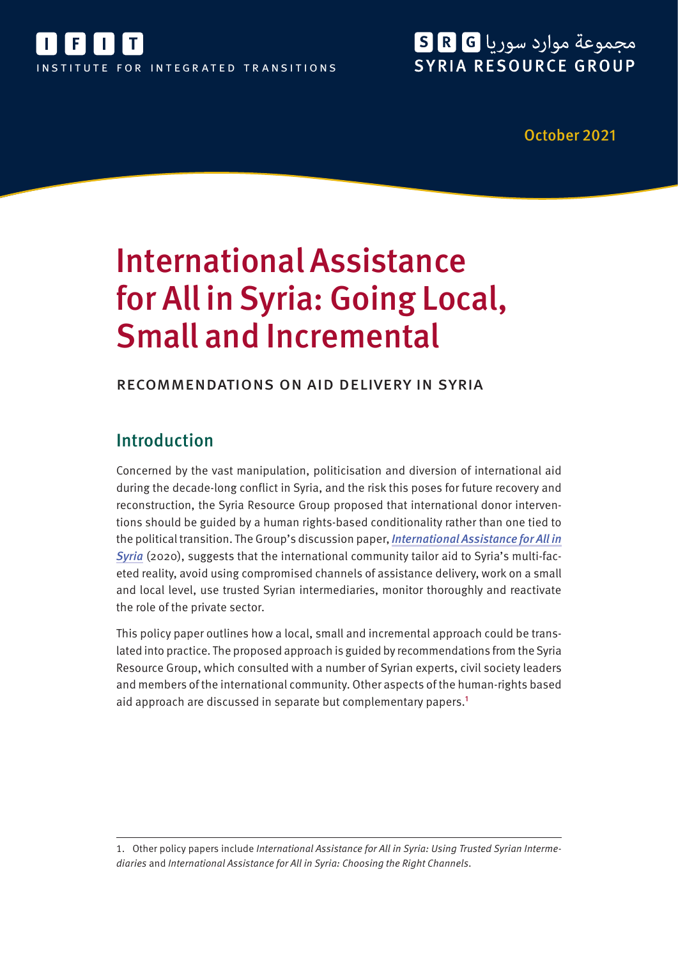

# مجموعة موارد سوريا G R G SYRIA RESOURCE GROUP

October 2021

# International Assistance for All in Syria: Going Local, Small and Incremental

### recommendations on aid delivery in syria

## Introduction

Concerned by the vast manipulation, politicisation and diversion of international aid during the decade-long conflict in Syria, and the risk this poses for future recovery and reconstruction, the Syria Resource Group proposed that international donor interventions should be guided by a human rights-based conditionality rather than one tied to the political transition. The Group's discussion paper, [International Assistance for All in](https://ifit-transitions.org/wp-content/uploads/2021/10/srg-international-assistance-for-all-in-syria.pdf) [Syria](https://ifit-transitions.org/wp-content/uploads/2021/10/srg-international-assistance-for-all-in-syria.pdf) (2020), suggests that the international community tailor aid to Syria's multi-faceted reality, avoid using compromised channels of assistance delivery, work on a small and local level, use trusted Syrian intermediaries, monitor thoroughly and reactivate the role of the private sector.

This policy paper outlines how a local, small and incremental approach could be translated into practice. The proposed approach is guided by recommendations from the Syria Resource Group, which consulted with a number of Syrian experts, civil society leaders and members of the international community. Other aspects of the human-rights based aid approach are discussed in separate but complementary papers.<sup>1</sup>

1. Other policy papers include International Assistance for All in Syria: Using Trusted Syrian Intermediaries and International Assistance for All in Syria: Choosing the Right Channels.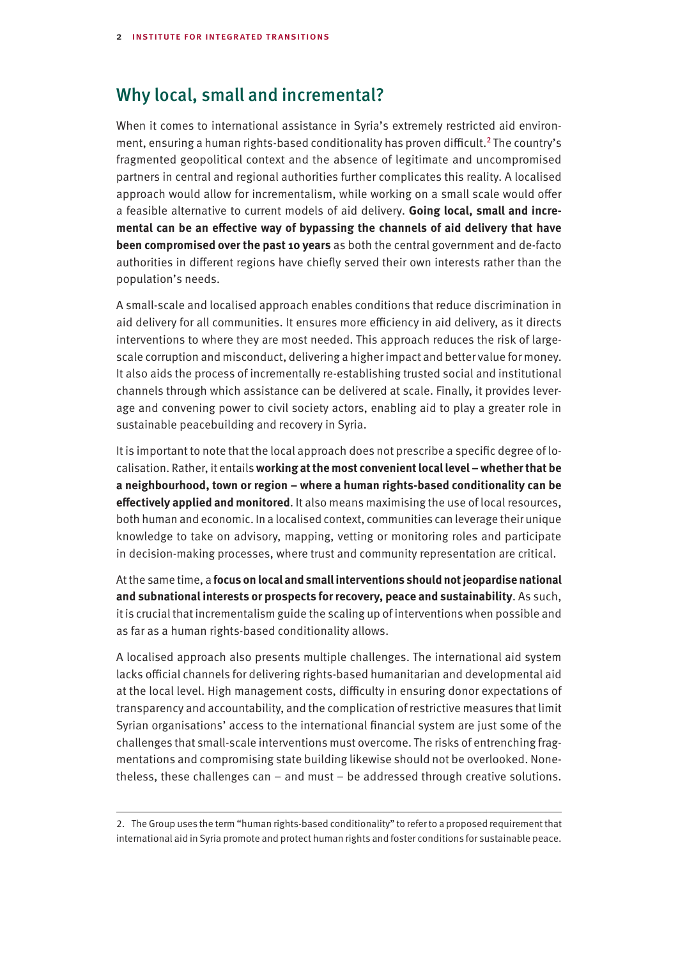## Why local, small and incremental?

When it comes to international assistance in Syria's extremely restricted aid environment, ensuring a human rights-based conditionality has proven difficult.<sup>2</sup> The country's fragmented geopolitical context and the absence of legitimate and uncompromised partners in central and regional authorities further complicates this reality. A localised approach would allow for incrementalism, while working on a small scale would offer a feasible alternative to current models of aid delivery. **Going local, small and incremental can be an effective way of bypassing the channels of aid delivery that have been compromised over the past 10 years** as both the central government and de-facto authorities in different regions have chiefly served their own interests rather than the population's needs.

A small-scale and localised approach enables conditions that reduce discrimination in aid delivery for all communities. It ensures more efficiency in aid delivery, as it directs interventions to where they are most needed. This approach reduces the risk of largescale corruption and misconduct, delivering a higher impact and better value for money. It also aids the process of incrementally re-establishing trusted social and institutional channels through which assistance can be delivered at scale. Finally, it provides leverage and convening power to civil society actors, enabling aid to play a greater role in sustainable peacebuilding and recovery in Syria.

It is important to note that the local approach does not prescribe a specific degree of localisation. Rather, it entails **working at the most convenient local level – whether that be a neighbourhood, town or region – where a human rights-based conditionality can be effectively applied and monitored**. It also means maximising the use of local resources, both human and economic. In a localised context, communities can leverage their unique knowledge to take on advisory, mapping, vetting or monitoring roles and participate in decision-making processes, where trust and community representation are critical.

At the same time, a **focus on local and small interventions should not jeopardise national and subnational interests or prospects for recovery, peace and sustainability**. As such, it is crucial that incrementalism guide the scaling up of interventions when possible and as far as a human rights-based conditionality allows.

A localised approach also presents multiple challenges. The international aid system lacks official channels for delivering rights-based humanitarian and developmental aid at the local level. High management costs, difficulty in ensuring donor expectations of transparency and accountability, and the complication of restrictive measures that limit Syrian organisations' access to the international financial system are just some of the challenges that small-scale interventions must overcome. The risks of entrenching fragmentations and compromising state building likewise should not be overlooked. Nonetheless, these challenges can – and must – be addressed through creative solutions.

<sup>2.</sup> The Group uses the term "human rights-based conditionality" to refer to a proposed requirement that international aid in Syria promote and protect human rights and foster conditions for sustainable peace.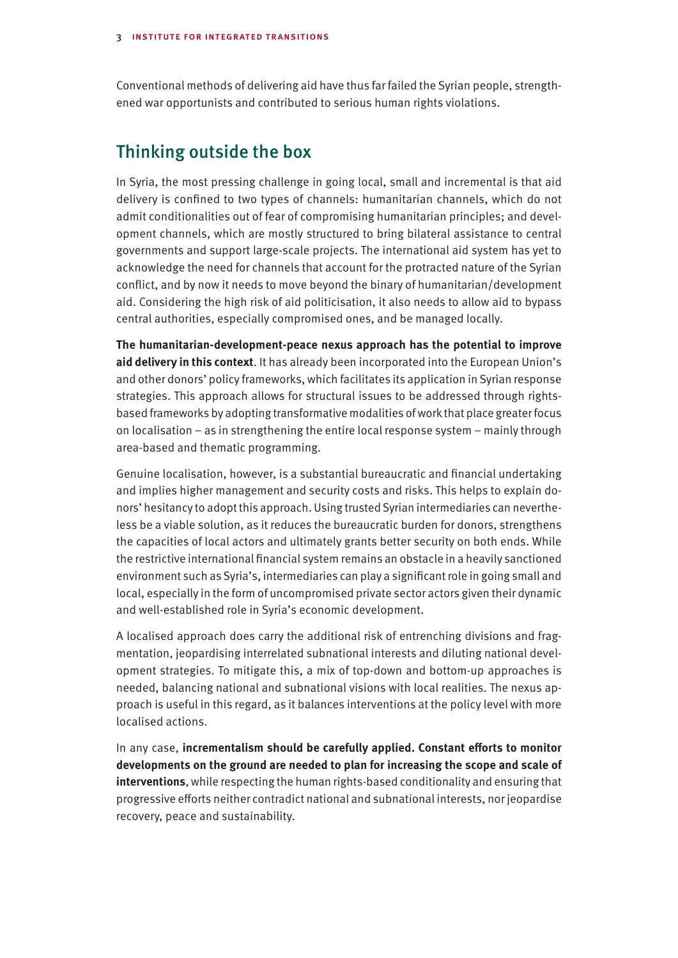Conventional methods of delivering aid have thus far failed the Syrian people, strengthened war opportunists and contributed to serious human rights violations.

## Thinking outside the box

In Syria, the most pressing challenge in going local, small and incremental is that aid delivery is confined to two types of channels: humanitarian channels, which do not admit conditionalities out of fear of compromising humanitarian principles; and development channels, which are mostly structured to bring bilateral assistance to central governments and support large-scale projects. The international aid system has yet to acknowledge the need for channels that account for the protracted nature of the Syrian conflict, and by now it needs to move beyond the binary of humanitarian/development aid. Considering the high risk of aid politicisation, it also needs to allow aid to bypass central authorities, especially compromised ones, and be managed locally.

**The humanitarian-development-peace nexus approach has the potential to improve aid delivery in this context**. It has already been incorporated into the European Union's and other donors' policy frameworks, which facilitates its application in Syrian response strategies. This approach allows for structural issues to be addressed through rightsbased frameworks by adopting transformative modalities of work that place greater focus on localisation – as in strengthening the entire local response system – mainly through area-based and thematic programming.

Genuine localisation, however, is a substantial bureaucratic and financial undertaking and implies higher management and security costs and risks. This helps to explain donors' hesitancy to adopt this approach. Using trusted Syrian intermediaries can nevertheless be a viable solution, as it reduces the bureaucratic burden for donors, strengthens the capacities of local actors and ultimately grants better security on both ends. While the restrictive international financial system remains an obstacle in a heavily sanctioned environment such as Syria's, intermediaries can play a significant role in going small and local, especially in the form of uncompromised private sector actors given their dynamic and well-established role in Syria's economic development.

A localised approach does carry the additional risk of entrenching divisions and fragmentation, jeopardising interrelated subnational interests and diluting national development strategies. To mitigate this, a mix of top-down and bottom-up approaches is needed, balancing national and subnational visions with local realities. The nexus approach is useful in this regard, as it balances interventions at the policy level with more localised actions.

In any case, **incrementalism should be carefully applied. Constant efforts to monitor developments on the ground are needed to plan for increasing the scope and scale of interventions**, while respecting the human rights-based conditionality and ensuring that progressive efforts neither contradict national and subnational interests, nor jeopardise recovery, peace and sustainability.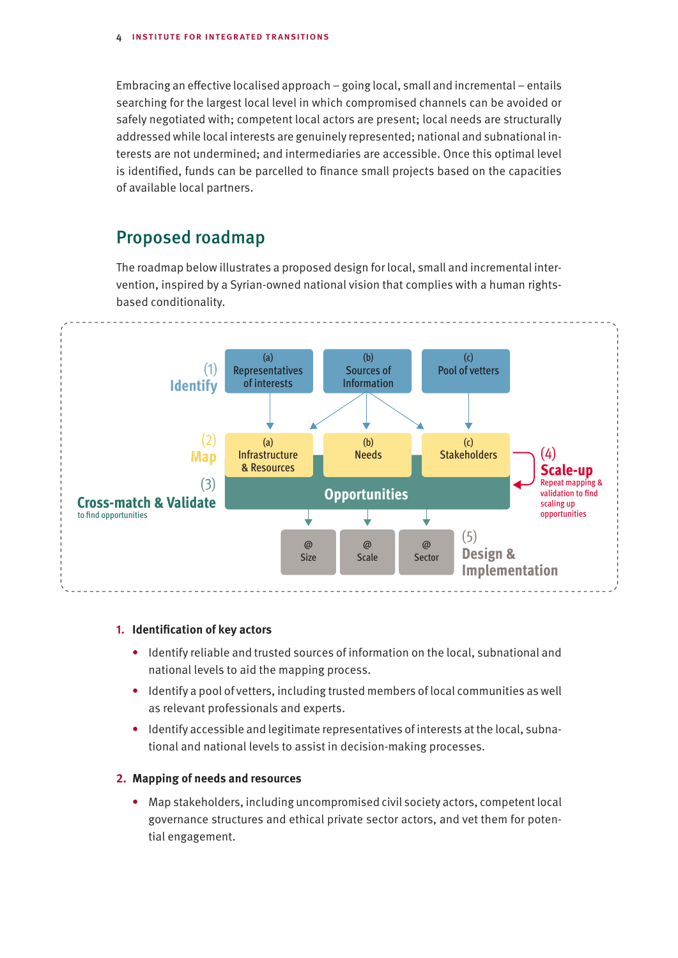Embracing an effective localised approach – going local, small and incremental – entails searching for the largest local level in which compromised channels can be avoided or safely negotiated with; competent local actors are present; local needs are structurally addressed while local interests are genuinely represented; national and subnational interests are not undermined; and intermediaries are accessible. Once this optimal level is identified, funds can be parcelled to finance small projects based on the capacities of available local partners.

## Proposed roadmap

The roadmap below illustrates a proposed design for local, small and incremental intervention, inspired by a Syrian-owned national vision that complies with a human rightsbased conditionality.



#### **1. Identification of key actors**

- **•** Identify reliable and trusted sources of information on the local, subnational and national levels to aid the mapping process.
- **•** Identify a pool of vetters, including trusted members of local communities as well as relevant professionals and experts.
- **•** Identify accessible and legitimate representatives of interests at the local, subnational and national levels to assist in decision-making processes.

#### **2. Mapping of needs and resources**

**•** Map stakeholders, including uncompromised civil society actors, competent local governance structures and ethical private sector actors, and vet them for potential engagement.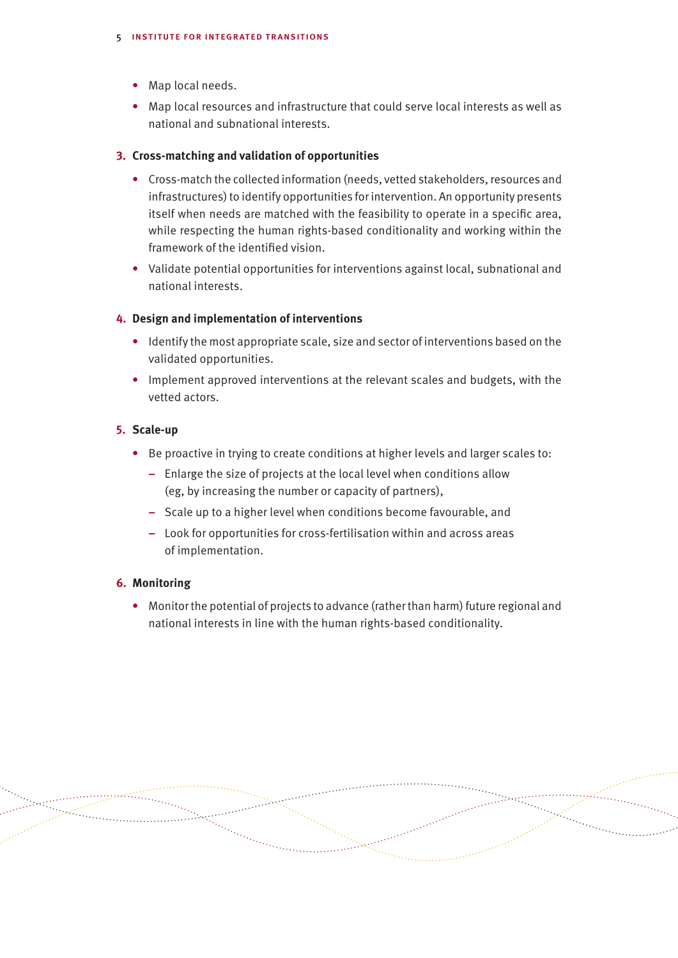- **•** Map local needs.
- **•** Map local resources and infrastructure that could serve local interests as well as national and subnational interests.

#### **3. Cross-matching and validation of opportunities**

- **•** Cross-match the collected information (needs, vetted stakeholders, resources and infrastructures) to identify opportunities for intervention. An opportunity presents itself when needs are matched with the feasibility to operate in a specific area, while respecting the human rights-based conditionality and working within the framework of the identified vision.
- **•** Validate potential opportunities for interventions against local, subnational and national interests.

#### **4. Design and implementation of interventions**

- **•** Identify the most appropriate scale, size and sector of interventions based on the validated opportunities.
- **•** Implement approved interventions at the relevant scales and budgets, with the vetted actors.

#### **5. Scale-up**

- **•** Be proactive in trying to create conditions at higher levels and larger scales to:
	- **–** Enlarge the size of projects at the local level when conditions allow (eg, by increasing the number or capacity of partners),
	- **–** Scale up to a higher level when conditions become favourable, and
	- **–** Look for opportunities for cross-fertilisation within and across areas of implementation.

#### **6. Monitoring**

**•** Monitor the potential of projects to advance (rather than harm) future regional and national interests in line with the human rights-based conditionality.